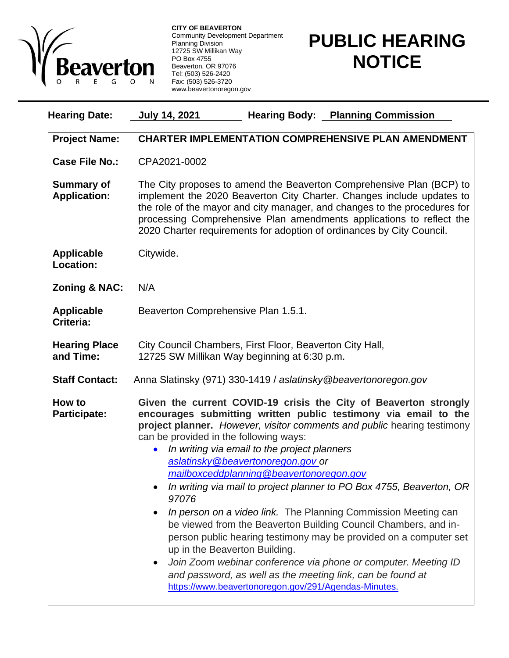

**CITY OF BEAVERTON** Community Development Department Planning Division 12725 SW Millikan Way PO Box 4755 Beaverton, OR 97076 Tel: (503) 526-2420 Fax: (503) 526-3720 www.beavertonoregon.gov

## **PUBLIC HEARING NOTICE**

| <b>Hearing Date:</b>                     | <b>Hearing Body: Planning Commission</b><br><u>July 14, 2021</u>                                                                                                                                                                                                                                                                                                                                                                                                                                                                                                                                                                                                                                                                                                                                                                                                                                             |
|------------------------------------------|--------------------------------------------------------------------------------------------------------------------------------------------------------------------------------------------------------------------------------------------------------------------------------------------------------------------------------------------------------------------------------------------------------------------------------------------------------------------------------------------------------------------------------------------------------------------------------------------------------------------------------------------------------------------------------------------------------------------------------------------------------------------------------------------------------------------------------------------------------------------------------------------------------------|
| <b>Project Name:</b>                     | <b>CHARTER IMPLEMENTATION COMPREHENSIVE PLAN AMENDMENT</b>                                                                                                                                                                                                                                                                                                                                                                                                                                                                                                                                                                                                                                                                                                                                                                                                                                                   |
| <b>Case File No.:</b>                    | CPA2021-0002                                                                                                                                                                                                                                                                                                                                                                                                                                                                                                                                                                                                                                                                                                                                                                                                                                                                                                 |
| <b>Summary of</b><br><b>Application:</b> | The City proposes to amend the Beaverton Comprehensive Plan (BCP) to<br>implement the 2020 Beaverton City Charter. Changes include updates to<br>the role of the mayor and city manager, and changes to the procedures for<br>processing Comprehensive Plan amendments applications to reflect the<br>2020 Charter requirements for adoption of ordinances by City Council.                                                                                                                                                                                                                                                                                                                                                                                                                                                                                                                                  |
| <b>Applicable</b><br>Location:           | Citywide.                                                                                                                                                                                                                                                                                                                                                                                                                                                                                                                                                                                                                                                                                                                                                                                                                                                                                                    |
| <b>Zoning &amp; NAC:</b>                 | N/A                                                                                                                                                                                                                                                                                                                                                                                                                                                                                                                                                                                                                                                                                                                                                                                                                                                                                                          |
| <b>Applicable</b><br>Criteria:           | Beaverton Comprehensive Plan 1.5.1.                                                                                                                                                                                                                                                                                                                                                                                                                                                                                                                                                                                                                                                                                                                                                                                                                                                                          |
| <b>Hearing Place</b><br>and Time:        | City Council Chambers, First Floor, Beaverton City Hall,<br>12725 SW Millikan Way beginning at 6:30 p.m.                                                                                                                                                                                                                                                                                                                                                                                                                                                                                                                                                                                                                                                                                                                                                                                                     |
| <b>Staff Contact:</b>                    | Anna Slatinsky (971) 330-1419 / aslatinsky@beavertonoregon.gov                                                                                                                                                                                                                                                                                                                                                                                                                                                                                                                                                                                                                                                                                                                                                                                                                                               |
| How to<br><b>Participate:</b>            | Given the current COVID-19 crisis the City of Beaverton strongly<br>encourages submitting written public testimony via email to the<br>project planner. However, visitor comments and public hearing testimony<br>can be provided in the following ways:<br>In writing via email to the project planners<br>aslatinsky@beavertonoregon.gov or<br>mailboxceddplanning@beavertonoregon.gov<br>In writing via mail to project planner to PO Box 4755, Beaverton, OR<br>97076<br>In person on a video link. The Planning Commission Meeting can<br>be viewed from the Beaverton Building Council Chambers, and in-<br>person public hearing testimony may be provided on a computer set<br>up in the Beaverton Building.<br>Join Zoom webinar conference via phone or computer. Meeting ID<br>and password, as well as the meeting link, can be found at<br>https://www.beavertonoregon.gov/291/Agendas-Minutes. |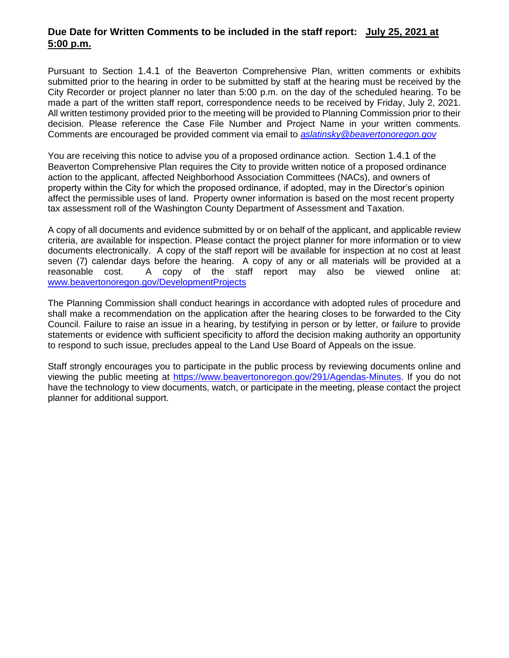## **Due Date for Written Comments to be included in the staff report: July 25, 2021 at 5:00 p.m.**

Pursuant to Section 1.4.1 of the Beaverton Comprehensive Plan, written comments or exhibits submitted prior to the hearing in order to be submitted by staff at the hearing must be received by the City Recorder or project planner no later than 5:00 p.m. on the day of the scheduled hearing. To be made a part of the written staff report, correspondence needs to be received by Friday, July 2, 2021. All written testimony provided prior to the meeting will be provided to Planning Commission prior to their decision. Please reference the Case File Number and Project Name in your written comments. Comments are encouraged be provided comment via email to *[aslatinsky@beavertonoregon.gov](mailto:aslatinsky@beavertonoregon.gov)*

You are receiving this notice to advise you of a proposed ordinance action. Section 1.4.1 of the Beaverton Comprehensive Plan requires the City to provide written notice of a proposed ordinance action to the applicant, affected Neighborhood Association Committees (NACs), and owners of property within the City for which the proposed ordinance, if adopted, may in the Director's opinion affect the permissible uses of land. Property owner information is based on the most recent property tax assessment roll of the Washington County Department of Assessment and Taxation.

A copy of all documents and evidence submitted by or on behalf of the applicant, and applicable review criteria, are available for inspection. Please contact the project planner for more information or to view documents electronically. A copy of the staff report will be available for inspection at no cost at least seven (7) calendar days before the hearing. A copy of any or all materials will be provided at a reasonable cost. A copy of the staff report may also be viewed online at: [www.beavertonoregon.gov/DevelopmentProjects](http://www.beavertonoregon.gov/DevelopmentProjects)

The Planning Commission shall conduct hearings in accordance with adopted rules of procedure and shall make a recommendation on the application after the hearing closes to be forwarded to the City Council. Failure to raise an issue in a hearing, by testifying in person or by letter, or failure to provide statements or evidence with sufficient specificity to afford the decision making authority an opportunity to respond to such issue, precludes appeal to the Land Use Board of Appeals on the issue.

Staff strongly encourages you to participate in the public process by reviewing documents online and viewing the public meeting at [https://www.beavertonoregon.gov/291/Agendas-Minutes.](https://www.beavertonoregon.gov/291/Agendas-Minutes) If you do not have the technology to view documents, watch, or participate in the meeting, please contact the project planner for additional support.